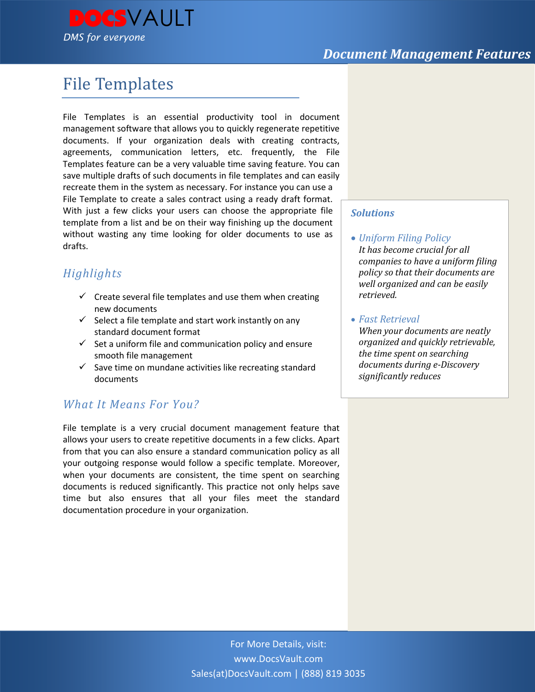



# File Templates

File Templates is an essential productivity tool in document management software that allows you to quickly regenerate repetitive documents. If your organization deals with creating contracts, agreements, communication letters, etc. frequently, the File Templates feature can be a very valuable time saving feature. You can save multiple drafts of such documents in file templates and can easily recreate them in the system as necessary. For instance you can use a File Template to create a sales contract using a ready draft format. With just a few clicks your users can choose the appropriate file template from a list and be on their way finishing up the document without wasting any time looking for older documents to use as drafts.

## *Highlights*

- $\checkmark$  Create several file templates and use them when creating new documents
- $\checkmark$  Select a file template and start work instantly on any standard document format
- $\checkmark$  Set a uniform file and communication policy and ensure smooth file management
- $\checkmark$  Save time on mundane activities like recreating standard documents

## *What It Means For You?*

File template is a very crucial document management feature that allows your users to create repetitive documents in a few clicks. Apart from that you can also ensure a standard communication policy as all your outgoing response would follow a specific template. Moreover, when your documents are consistent, the time spent on searching documents is reduced significantly. This practice not only helps save time but also ensures that all your files meet the standard documentation procedure in your organization.

#### *Solutions*

- *Uniform Filing Policy It has become crucial for all companies to have a uniform filing policy so that their documents are well organized and can be easily retrieved.*
- *Fast Retrieval*

*When your documents are neatly organized and quickly retrievable, the time spent on searching documents during e-Discovery significantly reduces*